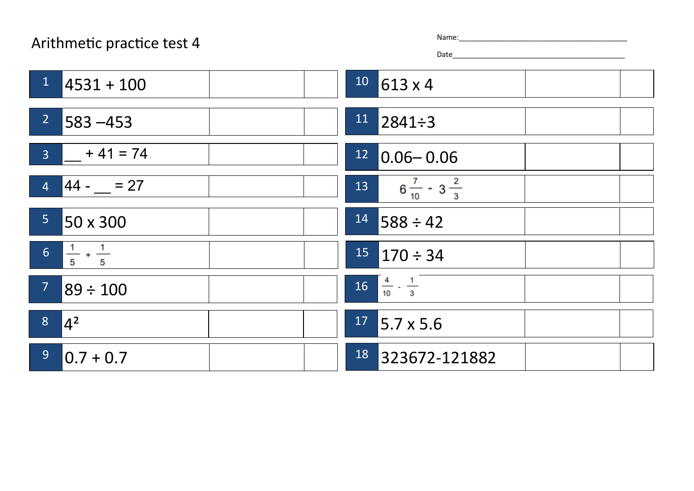## Arithmetic practice test 4

| me: |  |  |  |  |  |
|-----|--|--|--|--|--|
|     |  |  |  |  |  |

Date\_\_\_\_\_\_\_\_\_\_\_\_\_\_\_\_\_\_\_\_\_\_\_\_\_\_\_\_\_\_\_\_\_\_\_\_\_\_\_\_\_\_

| $1 -$<br>$14531 + 100$                          | $10$ 613 x 4                         |
|-------------------------------------------------|--------------------------------------|
| 27<br>$1583 - 453$                              | $11$ 2841÷3                          |
| $3 + 41 = 74$                                   | $12$ 0.06 - 0.06                     |
| $4 \mid 44 - 27$                                | $6\frac{7}{10} - 3\frac{2}{3}$<br>13 |
| 5 <sup>1</sup><br>50 x 300                      | 14<br>$1588 \div 42$                 |
| $\boxed{6}$ $\boxed{\frac{1}{5} + \frac{1}{5}}$ | $15$ 170 ÷ 34                        |
| 7 <sup>7</sup><br>89 ÷ 100                      | $16\frac{4}{10} \cdot \frac{1}{3}$   |
| 8 <sup>1</sup><br>$ 4^2 $                       | $17$ 5.7 x 5.6                       |
| 9 <sup>°</sup><br>$ 0.7 + 0.7$                  | 18<br>323672-121882                  |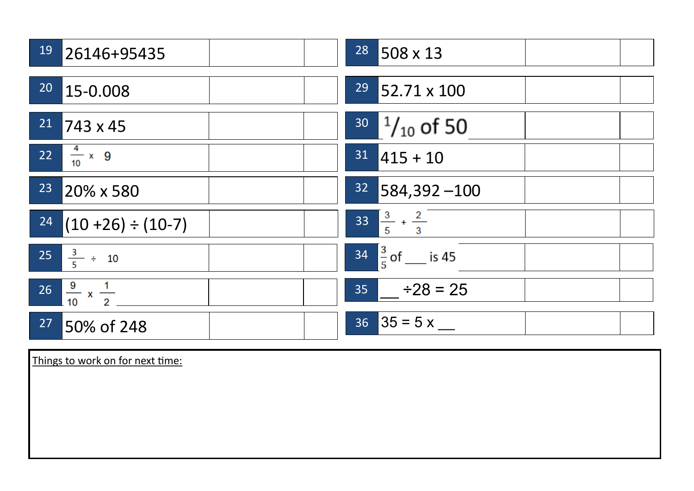| 19              | 26146+95435                          | $28$ 508 x 13                  |
|-----------------|--------------------------------------|--------------------------------|
| 20 <sub>o</sub> | 15-0.008                             | $29$ 52.71 x 100               |
| 21              | $1743 \times 45$                     | $30^{-1}/_{10}$ of 50          |
|                 | 22 $\frac{4}{10}$ x 9                | $31$ 415 + 10                  |
| 23              | 20% x 580                            | $32$ 584,392 -100              |
|                 | $\frac{24}{(10+26)} \div (10-7)$     | 33 $\frac{3}{5} + \frac{2}{3}$ |
|                 | $25 \frac{3}{5} \div 10$             | $34\frac{3}{5}$ of ___ is 45   |
|                 | $26 \frac{9}{10} \times \frac{1}{2}$ | $35$ $\div 28 = 25$            |
| 27              | 50% of 248                           | $36 \,  35 = 5 \times$         |

Things to work on for next time: